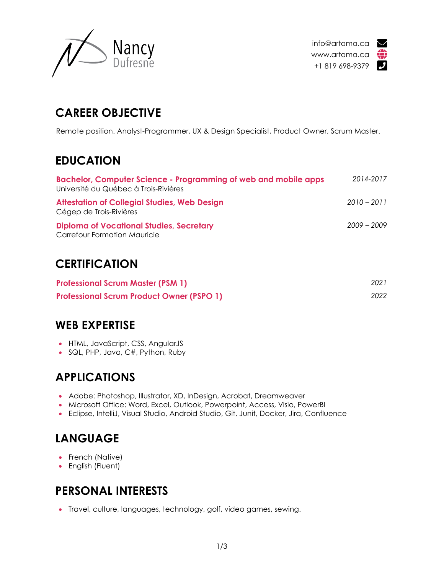



# **CAREER OBJECTIVE**

Remote position. Analyst-Programmer, UX & Design Specialist, Product Owner, Scrum Master.

## **EDUCATION**

| Bachelor, Computer Science - Programming of web and mobile apps<br>Université du Québec à Trois-Rivières | 2014-2017     |
|----------------------------------------------------------------------------------------------------------|---------------|
| <b>Attestation of Collegial Studies, Web Design</b><br>Cégep de Trois-Rivières                           | $2010 - 2011$ |
| <b>Diploma of Vocational Studies, Secretary</b><br><b>Carrefour Formation Mauricie</b>                   | $2009 - 2009$ |

### **CERTIFICATION**

| <b>Professional Scrum Master (PSM 1)</b>         | 2021 |
|--------------------------------------------------|------|
| <b>Professional Scrum Product Owner (PSPO 1)</b> | 2022 |

### **WEB EXPERTISE**

- HTML, JavaScript, CSS, AngularJS
- SQL, PHP, Java, C#, Python, Ruby

# **APPLICATIONS**

- Adobe: Photoshop, Illustrator, XD, InDesign, Acrobat, Dreamweaver
- Microsoft Office: Word, Excel, Outlook, Powerpoint, Access, Visio, PowerBI
- Eclipse, IntelliJ, Visual Studio, Android Studio, Git, Junit, Docker, Jira, Confluence

# **LANGUAGE**

- French (Native)
- English (Fluent)

# **PERSONAL INTERESTS**

• Travel, culture, languages, technology, golf, video games, sewing.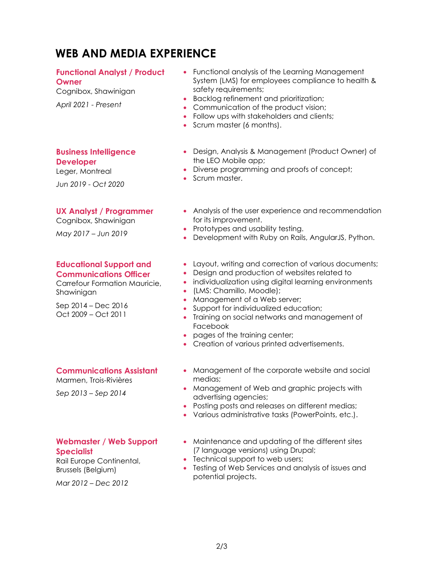## **WEB AND MEDIA EXPERIENCE**

### **Functional Analyst / Product**

**Owner**

Cognibox, Shawinigan *April 2021 - Present*

- Functional analysis of the Learning Management System (LMS) for employees compliance to health & safety requirements;
- Backlog refinement and prioritization;
- Communication of the product vision:
- Follow ups with stakeholders and clients;
- Scrum master (6 months).
- **Business Intelligence Developer**

Leger, Montreal

*Jun 2019 - Oct 2020*

#### **UX Analyst / Programmer**

Cognibox, Shawinigan

*May 2017 – Jun 2019*

#### **Educational Support and Communications Officer**

Carrefour Formation Mauricie, Shawinigan

Sep 2014 – Dec 2016 Oct 2009 – Oct 2011

- Design, Analysis & Management (Product Owner) of the LEO Mobile app;
- Diverse programming and proofs of concept;
- Scrum master.
- Analysis of the user experience and recommendation for its improvement.
- Prototypes and usability testing.
- Development with Ruby on Rails, AngularJS, Python.
- Layout, writing and correction of various documents;
- Design and production of websites related to
- individualization using digital learning environments
- (LMS: Chamillo, Moodle);
- Management of a Web server;
- Support for individualized education;
- Training on social networks and management of Facebook
- pages of the training center;
- Creation of various printed advertisements.

#### **Communications Assistant**

Marmen, Trois-Rivières

*Sep 2013 – Sep 2014*

#### **Webmaster / Web Support Specialist**

Rail Europe Continental, Brussels (Belgium)

*Mar 2012 – Dec 2012*

- Management of the corporate website and social medias;
- Management of Web and graphic projects with advertising agencies;
- Posting posts and releases on different medias;
- Various administrative tasks (PowerPoints, etc.).
- Maintenance and updating of the different sites (7 language versions) using Drupal;
- Technical support to web users;
- Testing of Web Services and analysis of issues and potential projects.